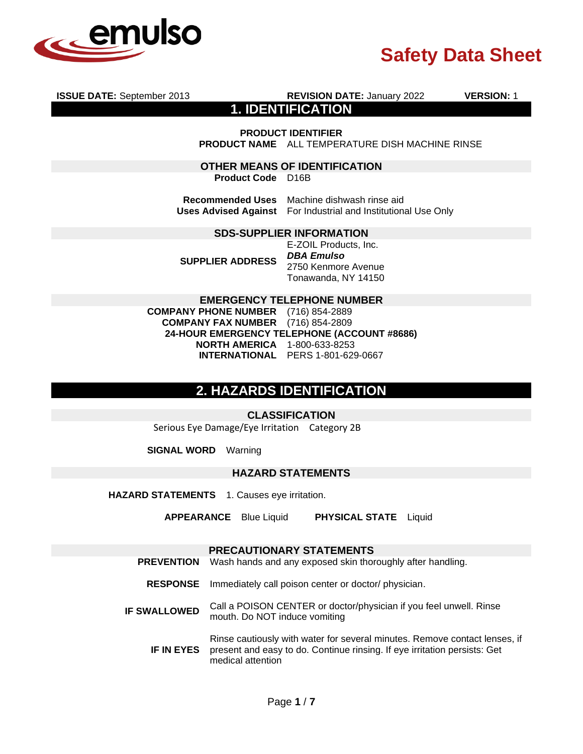

**ISSUE DATE:** September 2013 **REVISION DATE:** January 2022 **VERSION:** 1 **1. IDENTIFICATION PRODUCT IDENTIFIER PRODUCT NAME** ALL TEMPERATURE DISH MACHINE RINSE **OTHER MEANS OF IDENTIFICATION Product Code** D16B **Recommended Uses** Machine dishwash rinse aid **Uses Advised Against** For Industrial and Institutional Use Only **SDS-SUPPLIER INFORMATION SUPPLIER ADDRESS** E-ZOIL Products, Inc. *DBA Emulso*  2750 Kenmore Avenue

Tonawanda, NY 14150

#### **EMERGENCY TELEPHONE NUMBER**

**COMPANY PHONE NUMBER** (716) 854-2889 **COMPANY FAX NUMBER** (716) 854-2809 **24-HOUR EMERGENCY TELEPHONE (ACCOUNT #8686) NORTH AMERICA** 1-800-633-8253 **INTERNATIONAL** PERS 1-801-629-0667

## **2. HAZARDS IDENTIFICATION**

**CLASSIFICATION**

Serious Eye Damage/Eye Irritation Category 2B

**SIGNAL WORD** Warning

#### **HAZARD STATEMENTS**

**HAZARD STATEMENTS** 1. Causes eye irritation.

**APPEARANCE** Blue Liquid **PHYSICAL STATE** Liquid

### **PRECAUTIONARY STATEMENTS**

- **PREVENTION** Wash hands and any exposed skin thoroughly after handling.
- **RESPONSE** Immediately call poison center or doctor/ physician.
- **IF SWALLOWED** Call a POISON CENTER or doctor/physician if you feel unwell. Rinse mouth. Do NOT induce vomiting

**IF IN EYES** Rinse cautiously with water for several minutes. Remove contact lenses, if present and easy to do. Continue rinsing. If eye irritation persists: Get medical attention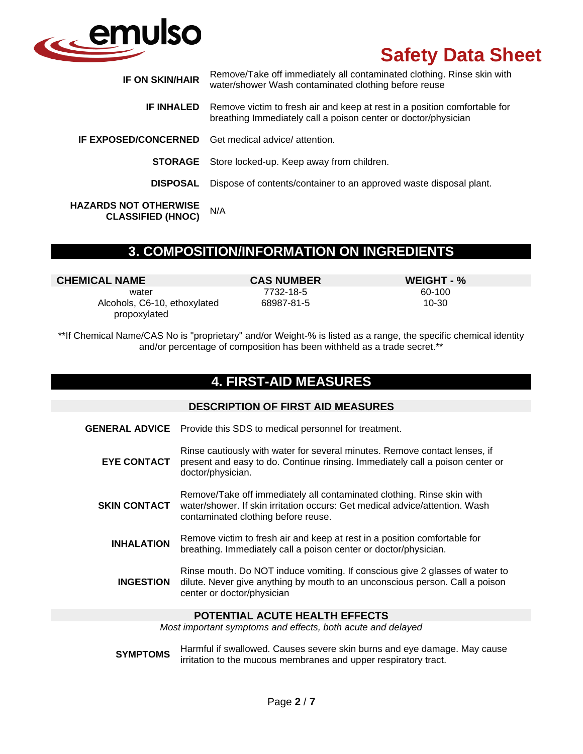

| <b>IF ON SKIN/HAIR</b>                                   | Remove/Take off immediately all contaminated clothing. Rinse skin with<br>water/shower Wash contaminated clothing before reuse              |
|----------------------------------------------------------|---------------------------------------------------------------------------------------------------------------------------------------------|
| <b>IF INHALED</b>                                        | Remove victim to fresh air and keep at rest in a position comfortable for<br>breathing Immediately call a poison center or doctor/physician |
|                                                          | <b>IF EXPOSED/CONCERNED</b> Get medical advice/ attention.                                                                                  |
|                                                          | <b>STORAGE</b> Store locked-up. Keep away from children.                                                                                    |
| <b>DISPOSAL</b>                                          | Dispose of contents/container to an approved waste disposal plant.                                                                          |
| <b>HAZARDS NOT OTHERWISE</b><br><b>CLASSIFIED (HNOC)</b> | N/A                                                                                                                                         |

## **3. COMPOSITION/INFORMATION ON INGREDIENTS**

| <b>CHEMICAL NAME</b>                         | <b>CAS NUMBER</b> | WEIGHT - % |
|----------------------------------------------|-------------------|------------|
| water                                        | 7732-18-5         | 60-100     |
| Alcohols, C6-10, ethoxylated<br>propoxylated | 68987-81-5        | 10-30      |

\*\*If Chemical Name/CAS No is "proprietary" and/or Weight-% is listed as a range, the specific chemical identity and/or percentage of composition has been withheld as a trade secret.\*\*

## **4. FIRST-AID MEASURES**

#### **DESCRIPTION OF FIRST AID MEASURES**

- **GENERAL ADVICE** Provide this SDS to medical personnel for treatment.
	- **EYE CONTACT** Rinse cautiously with water for several minutes. Remove contact lenses, if present and easy to do. Continue rinsing. Immediately call a poison center or doctor/physician.

**SKIN CONTACT** Remove/Take off immediately all contaminated clothing. Rinse skin with water/shower. If skin irritation occurs: Get medical advice/attention. Wash contaminated clothing before reuse.

- **INHALATION** Remove victim to fresh air and keep at rest in a position comfortable for breathing. Immediately call a poison center or doctor/physician.
	- **INGESTION** Rinse mouth. Do NOT induce vomiting. If conscious give 2 glasses of water to dilute. Never give anything by mouth to an unconscious person. Call a poison center or doctor/physician

#### **POTENTIAL ACUTE HEALTH EFFECTS**

*Most important symptoms and effects, both acute and delayed*

**SYMPTOMS** Harmful if swallowed. Causes severe skin burns and eye damage. May cause irritation to the mucous membranes and upper respiratory tract.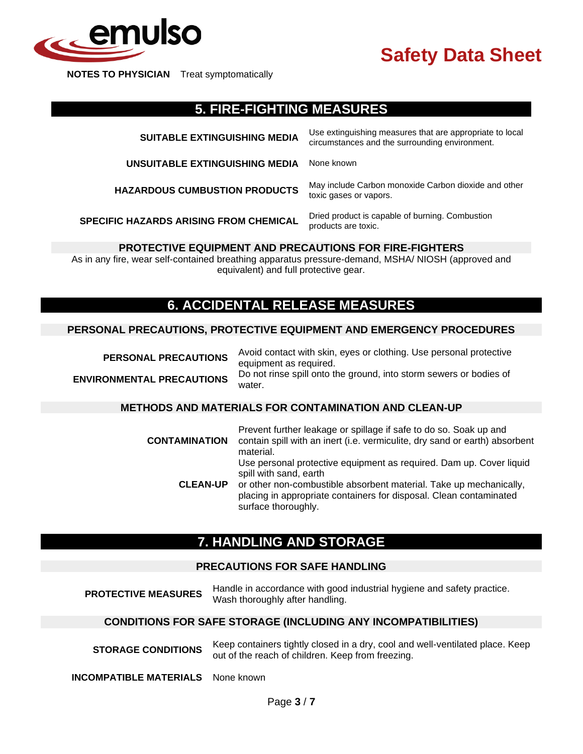

**NOTES TO PHYSICIAN** Treat symptomatically

## **5. FIRE-FIGHTING MEASURES**

| <b>SUITABLE EXTINGUISHING MEDIA</b>           | Use extinguishing measures that are appropriate to local<br>circumstances and the surrounding environment. |
|-----------------------------------------------|------------------------------------------------------------------------------------------------------------|
| UNSUITABLE EXTINGUISHING MEDIA                | None known                                                                                                 |
| <b>HAZARDOUS CUMBUSTION PRODUCTS</b>          | May include Carbon monoxide Carbon dioxide and other<br>toxic gases or vapors.                             |
| <b>SPECIFIC HAZARDS ARISING FROM CHEMICAL</b> | Dried product is capable of burning. Combustion<br>products are toxic.                                     |

### **PROTECTIVE EQUIPMENT AND PRECAUTIONS FOR FIRE-FIGHTERS**

As in any fire, wear self-contained breathing apparatus pressure-demand, MSHA/ NIOSH (approved and equivalent) and full protective gear.

## **6. ACCIDENTAL RELEASE MEASURES**

#### **PERSONAL PRECAUTIONS, PROTECTIVE EQUIPMENT AND EMERGENCY PROCEDURES**

| <b>PERSONAL PRECAUTIONS</b>      | Avoid contact with skin, eyes or clothing. Use personal protective<br>equipment as required. |
|----------------------------------|----------------------------------------------------------------------------------------------|
| <b>ENVIRONMENTAL PRECAUTIONS</b> | Do not rinse spill onto the ground, into storm sewers or bodies of<br>water.                 |
|                                  |                                                                                              |
|                                  |                                                                                              |

#### **METHODS AND MATERIALS FOR CONTAMINATION AND CLEAN-UP**

| <b>CONTAMINATION</b> | Prevent further leakage or spillage if safe to do so. Soak up and<br>contain spill with an inert (i.e. vermiculite, dry sand or earth) absorbent<br>material.                                                                                                    |
|----------------------|------------------------------------------------------------------------------------------------------------------------------------------------------------------------------------------------------------------------------------------------------------------|
| <b>CLEAN-UP</b>      | Use personal protective equipment as required. Dam up. Cover liquid<br>spill with sand, earth<br>or other non-combustible absorbent material. Take up mechanically,<br>placing in appropriate containers for disposal. Clean contaminated<br>surface thoroughly. |

## **7. HANDLING AND STORAGE**

### **PRECAUTIONS FOR SAFE HANDLING**

| <b>PROTECTIVE MEASURES</b> | Handle in accordance with good industrial hygiene and safety practice. |
|----------------------------|------------------------------------------------------------------------|
|                            | Wash thoroughly after handling.                                        |

#### **CONDITIONS FOR SAFE STORAGE (INCLUDING ANY INCOMPATIBILITIES)**

| <b>STORAGE CONDITIONS</b> | Keep containers tightly closed in a dry, cool and well-ventilated place. Keep |
|---------------------------|-------------------------------------------------------------------------------|
|                           | out of the reach of children. Keep from freezing.                             |

**INCOMPATIBLE MATERIALS** None known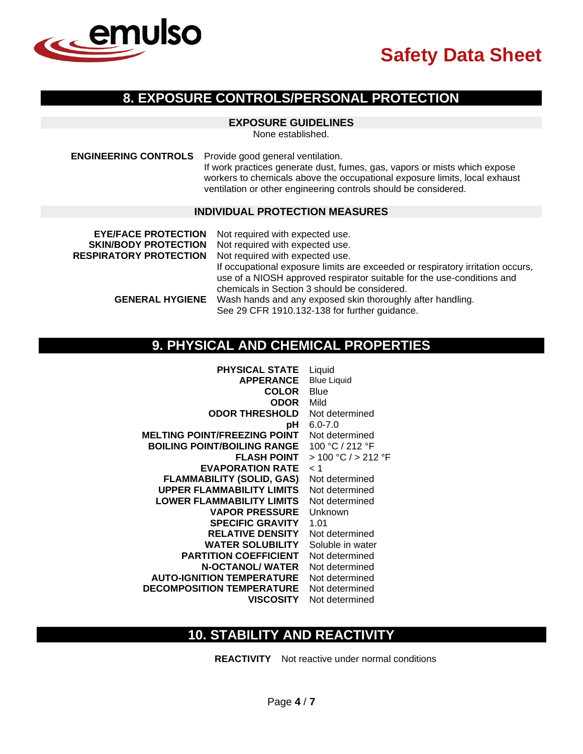

## **8. EXPOSURE CONTROLS/PERSONAL PROTECTION**

### **EXPOSURE GUIDELINES**

None established.

**ENGINEERING CONTROLS** Provide good general ventilation.

If work practices generate dust, fumes, gas, vapors or mists which expose workers to chemicals above the occupational exposure limits, local exhaust ventilation or other engineering controls should be considered.

#### **INDIVIDUAL PROTECTION MEASURES**

| <b>EYE/FACE PROTECTION</b>    | Not required with expected use.                                                                                                                                                                          |
|-------------------------------|----------------------------------------------------------------------------------------------------------------------------------------------------------------------------------------------------------|
| <b>SKIN/BODY PROTECTION</b>   | Not required with expected use.                                                                                                                                                                          |
| <b>RESPIRATORY PROTECTION</b> | Not required with expected use.                                                                                                                                                                          |
|                               | If occupational exposure limits are exceeded or respiratory irritation occurs,<br>use of a NIOSH approved respirator suitable for the use-conditions and<br>chemicals in Section 3 should be considered. |
| <b>GENERAL HYGIENE</b>        | Wash hands and any exposed skin thoroughly after handling.                                                                                                                                               |
|                               | See 29 CFR 1910.132-138 for further guidance.                                                                                                                                                            |

## **9. PHYSICAL AND CHEMICAL PROPERTIES**

| <b>PHYSICAL STATE</b>               | Liquid              |
|-------------------------------------|---------------------|
| <b>APPERANCE</b>                    | <b>Blue Liquid</b>  |
| <b>COLOR</b>                        | Blue                |
| ODOR                                | Mild                |
| <b>ODOR THRESHOLD</b>               | Not determined      |
| рH                                  | $6.0 - 7.0$         |
| <b>MELTING POINT/FREEZING POINT</b> | Not determined      |
| <b>BOILING POINT/BOILING RANGE</b>  | 100 °C / 212 °F     |
| <b>FLASH POINT</b>                  | > 100 °C / > 212 °F |
| <b>EVAPORATION RATE</b>             | < 1                 |
| <b>FLAMMABILITY (SOLID, GAS)</b>    | Not determined      |
| <b>UPPER FLAMMABILITY LIMITS</b>    | Not determined      |
| <b>LOWER FLAMMABILITY LIMITS</b>    | Not determined      |
| <b>VAPOR PRESSURE</b>               | Unknown             |
| <b>SPECIFIC GRAVITY</b>             | 1.01                |
| <b>RELATIVE DENSITY</b>             | Not determined      |
| <b>WATER SOLUBILITY</b>             | Soluble in water    |
| <b>PARTITION COEFFICIENT</b>        | Not determined      |
| <b>N-OCTANOL/ WATER</b>             | Not determined      |
| <b>AUTO-IGNITION TEMPERATURE</b>    | Not determined      |
| <b>DECOMPOSITION TEMPERATURE</b>    | Not determined      |
| <b>VISCOSITY</b>                    | Not determined      |

## **10. STABILITY AND REACTIVITY**

**REACTIVITY** Not reactive under normal conditions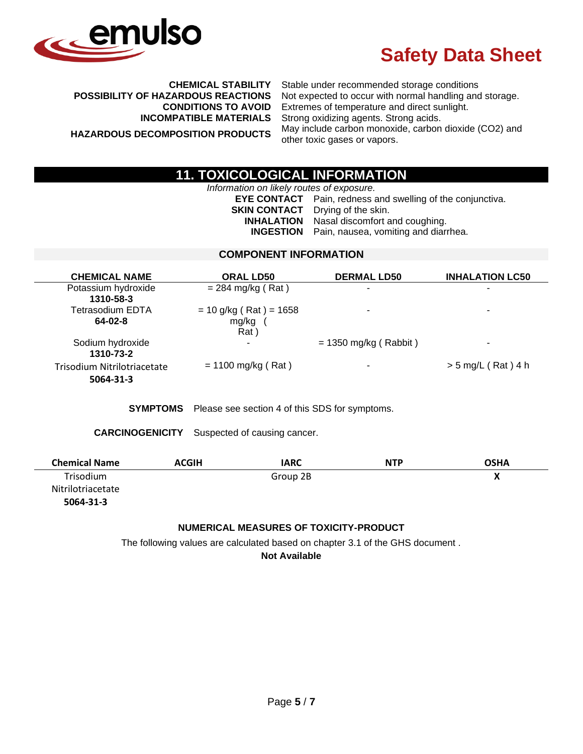

**CHEMICAL STABILITY** Stable under recommended storage conditions **POSSIBILITY OF HAZARDOUS REACTIONS** Not expected to occur with normal handling and storage. **CONDITIONS TO AVOID** Extremes of temperature and direct sunlight. **INCOMPATIBLE MATERIALS** Strong oxidizing agents. Strong acids. **HAZARDOUS DECOMPOSITION PRODUCTS** May include carbon monoxide, carbon dioxide (CO2) and other toxic gases or vapors.

## **11. TOXICOLOGICAL INFORMATION**

*Information on likely routes of exposure.*

**EYE CONTACT** Pain, redness and swelling of the conjunctiva. **SKIN CONTACT** Drying of the skin.<br>**INHALATION** Nasal discomfort a Nasal discomfort and coughing. **INGESTION** Pain, nausea, vomiting and diarrhea.

### **COMPONENT INFORMATION**

| <b>CHEMICAL NAME</b>        | <b>ORAL LD50</b>         | <b>DERMAL LD50</b>      | <b>INHALATION LC50</b>   |
|-----------------------------|--------------------------|-------------------------|--------------------------|
| Potassium hydroxide         | $= 284$ mg/kg (Rat)      | ۰                       |                          |
| 1310-58-3                   |                          |                         |                          |
| Tetrasodium EDTA            | $= 10$ g/kg (Rat) = 1658 |                         | $\overline{\phantom{0}}$ |
| 64-02-8                     | mg/kg                    |                         |                          |
|                             | Rat)                     |                         |                          |
| Sodium hydroxide            | $\tilde{\phantom{a}}$    | $= 1350$ mg/kg (Rabbit) | $\blacksquare$           |
| 1310-73-2                   |                          |                         |                          |
| Trisodium Nitrilotriacetate | $= 1100$ mg/kg (Rat)     |                         | $>$ 5 mg/L (Rat) 4 h     |
| 5064-31-3                   |                          |                         |                          |
|                             |                          |                         |                          |

**SYMPTOMS** Please see section 4 of this SDS for symptoms.

**CARCINOGENICITY** Suspected of causing cancer.

| <b>Chemical Name</b> | <b>ACGIH</b> | IARC     | <b>NTP</b> | <b>OSHA</b> |
|----------------------|--------------|----------|------------|-------------|
| Trisodium            |              | Group 2B |            |             |
| Nitrilotriacetate    |              |          |            |             |
| 5064-31-3            |              |          |            |             |

### **NUMERICAL MEASURES OF TOXICITY-PRODUCT**

The following values are calculated based on chapter 3.1 of the GHS document .

**Not Available**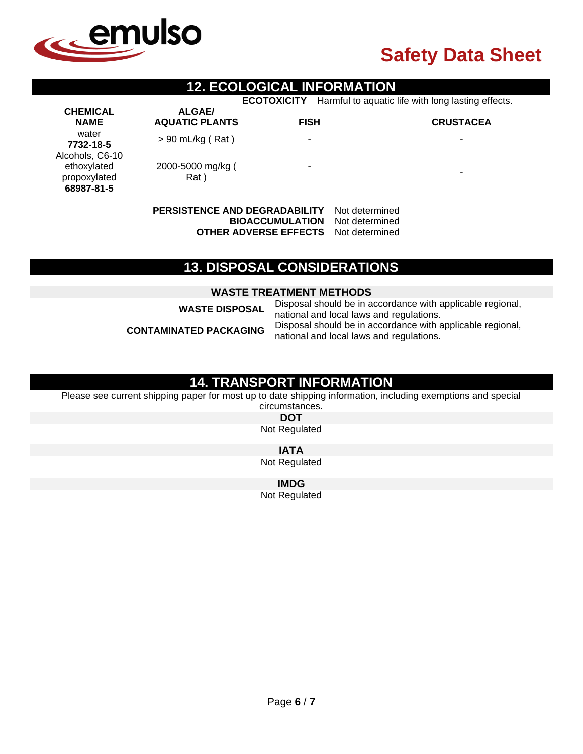

## **12. ECOLOGICAL INFORMATION**

**ECOTOXICITY** Harmful to aquatic life with long lasting effects.

| <b>AQUATIC PLANTS</b> | <b>FISH</b>                             | <b>CRUSTACEA</b>         |
|-----------------------|-----------------------------------------|--------------------------|
|                       | ٠                                       | $\overline{\phantom{0}}$ |
| Rat)                  | ٠                                       | ۰                        |
|                       | $> 90$ mL/kg (Rat)<br>2000-5000 mg/kg ( |                          |

**PERSISTENCE AND DEGRADABILITY** Not determined **BIOACCUMULATION** Not determined **OTHER ADVERSE EFFECTS** Not determined

## **13. DISPOSAL CONSIDERATIONS**

#### **WASTE TREATMENT METHODS**

**WASTE DISPOSAL** Disposal should be in accordance with applicable regional, national and local laws and regulations. **CONTAMINATED PACKAGING** Disposal should be in accordance with applicable regional, national and local laws and regulations.

## **14. TRANSPORT INFORMATION**

Please see current shipping paper for most up to date shipping information, including exemptions and special

circumstances. **DOT** Not Regulated

**IATA**

Not Regulated

**IMDG**

Not Regulated